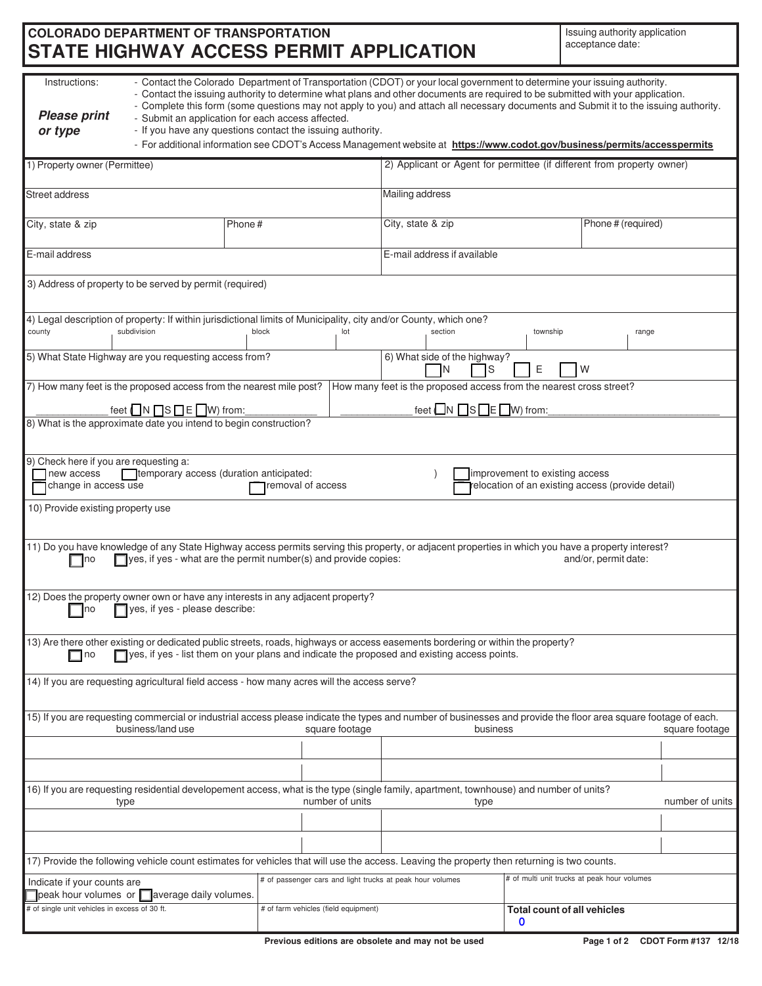# **COLORADO DEPARTMENT OF TRANSPORTATION STATE HIGHWAY ACCESS PERMIT APPLICATION**

Issuing authority application acceptance date:

| - Contact the Colorado Department of Transportation (CDOT) or your local government to determine your issuing authority.<br>Instructions:<br>- Contact the issuing authority to determine what plans and other documents are required to be submitted with your application.<br>- Complete this form (some questions may not apply to you) and attach all necessary documents and Submit it to the issuing authority.<br><b>Please print</b><br>- Submit an application for each access affected.<br>- If you have any questions contact the issuing authority.<br>or type<br>- For additional information see CDOT's Access Management website at https://www.codot.gov/business/permits/accesspermits |                                                                                                                                  |        |                                      |                                                                        |                   |                                            |                    |  |  |
|---------------------------------------------------------------------------------------------------------------------------------------------------------------------------------------------------------------------------------------------------------------------------------------------------------------------------------------------------------------------------------------------------------------------------------------------------------------------------------------------------------------------------------------------------------------------------------------------------------------------------------------------------------------------------------------------------------|----------------------------------------------------------------------------------------------------------------------------------|--------|--------------------------------------|------------------------------------------------------------------------|-------------------|--------------------------------------------|--------------------|--|--|
| 1) Property owner (Permittee)                                                                                                                                                                                                                                                                                                                                                                                                                                                                                                                                                                                                                                                                           |                                                                                                                                  |        |                                      | 2) Applicant or Agent for permittee (if different from property owner) |                   |                                            |                    |  |  |
| <b>Street address</b>                                                                                                                                                                                                                                                                                                                                                                                                                                                                                                                                                                                                                                                                                   |                                                                                                                                  |        |                                      | Mailing address                                                        |                   |                                            |                    |  |  |
| City, state & zip                                                                                                                                                                                                                                                                                                                                                                                                                                                                                                                                                                                                                                                                                       |                                                                                                                                  | Phone# |                                      |                                                                        | City, state & zip |                                            | Phone # (required) |  |  |
| E-mail address                                                                                                                                                                                                                                                                                                                                                                                                                                                                                                                                                                                                                                                                                          |                                                                                                                                  |        |                                      | E-mail address if available                                            |                   |                                            |                    |  |  |
|                                                                                                                                                                                                                                                                                                                                                                                                                                                                                                                                                                                                                                                                                                         | 3) Address of property to be served by permit (required)                                                                         |        |                                      |                                                                        |                   |                                            |                    |  |  |
| county                                                                                                                                                                                                                                                                                                                                                                                                                                                                                                                                                                                                                                                                                                  | 4) Legal description of property: If within jurisdictional limits of Municipality, city and/or County, which one?<br>subdivision | block  | lot                                  |                                                                        | section           | township                                   | range              |  |  |
| 5) What State Highway are you requesting access from?<br>6) What side of the highway?<br>Ε<br>ΙN<br>W<br>S                                                                                                                                                                                                                                                                                                                                                                                                                                                                                                                                                                                              |                                                                                                                                  |        |                                      |                                                                        |                   |                                            |                    |  |  |
| 7) How many feet is the proposed access from the nearest mile post?<br>How many feet is the proposed access from the nearest cross street?<br>feet $\Box N \Box S \Box E \Box W$ ) from:<br>feet $\Box N \Box S \Box E \Box W$ ) from:                                                                                                                                                                                                                                                                                                                                                                                                                                                                  |                                                                                                                                  |        |                                      |                                                                        |                   |                                            |                    |  |  |
| 8) What is the approximate date you intend to begin construction?                                                                                                                                                                                                                                                                                                                                                                                                                                                                                                                                                                                                                                       |                                                                                                                                  |        |                                      |                                                                        |                   |                                            |                    |  |  |
| 9) Check here if you are requesting a:<br>Tremporary access (duration anticipated:<br>improvement to existing access<br>new access<br>change in access use<br>relocation of an existing access (provide detail)<br>removal of access                                                                                                                                                                                                                                                                                                                                                                                                                                                                    |                                                                                                                                  |        |                                      |                                                                        |                   |                                            |                    |  |  |
| 10) Provide existing property use                                                                                                                                                                                                                                                                                                                                                                                                                                                                                                                                                                                                                                                                       |                                                                                                                                  |        |                                      |                                                                        |                   |                                            |                    |  |  |
| 11) Do you have knowledge of any State Highway access permits serving this property, or adjacent properties in which you have a property interest?<br>$\Box$ yes, if yes - what are the permit number(s) and provide copies:<br>and/or, permit date:<br>⊟no                                                                                                                                                                                                                                                                                                                                                                                                                                             |                                                                                                                                  |        |                                      |                                                                        |                   |                                            |                    |  |  |
| 12) Does the property owner own or have any interests in any adjacent property?<br>yes, if yes - please describe:<br>Ino                                                                                                                                                                                                                                                                                                                                                                                                                                                                                                                                                                                |                                                                                                                                  |        |                                      |                                                                        |                   |                                            |                    |  |  |
| 13) Are there other existing or dedicated public streets, roads, highways or access easements bordering or within the property?<br>yes, if yes - list them on your plans and indicate the proposed and existing access points.<br>$\Box$ no                                                                                                                                                                                                                                                                                                                                                                                                                                                             |                                                                                                                                  |        |                                      |                                                                        |                   |                                            |                    |  |  |
| 14) If you are requesting agricultural field access - how many acres will the access serve?                                                                                                                                                                                                                                                                                                                                                                                                                                                                                                                                                                                                             |                                                                                                                                  |        |                                      |                                                                        |                   |                                            |                    |  |  |
| 15) If you are requesting commercial or industrial access please indicate the types and number of businesses and provide the floor area square footage of each.<br>business/land use<br>square footage<br>square footage<br>business                                                                                                                                                                                                                                                                                                                                                                                                                                                                    |                                                                                                                                  |        |                                      |                                                                        |                   |                                            |                    |  |  |
|                                                                                                                                                                                                                                                                                                                                                                                                                                                                                                                                                                                                                                                                                                         |                                                                                                                                  |        |                                      |                                                                        |                   |                                            |                    |  |  |
| 16) If you are requesting residential developement access, what is the type (single family, apartment, townhouse) and number of units?<br>number of units<br>number of units<br>type<br>type                                                                                                                                                                                                                                                                                                                                                                                                                                                                                                            |                                                                                                                                  |        |                                      |                                                                        |                   |                                            |                    |  |  |
|                                                                                                                                                                                                                                                                                                                                                                                                                                                                                                                                                                                                                                                                                                         |                                                                                                                                  |        |                                      |                                                                        |                   |                                            |                    |  |  |
|                                                                                                                                                                                                                                                                                                                                                                                                                                                                                                                                                                                                                                                                                                         |                                                                                                                                  |        |                                      |                                                                        |                   |                                            |                    |  |  |
| 17) Provide the following vehicle count estimates for vehicles that will use the access. Leaving the property then returning is two counts.<br># of multi unit trucks at peak hour volumes<br># of passenger cars and light trucks at peak hour volumes                                                                                                                                                                                                                                                                                                                                                                                                                                                 |                                                                                                                                  |        |                                      |                                                                        |                   |                                            |                    |  |  |
| Indicate if your counts are<br>peak hour volumes or average daily volumes.                                                                                                                                                                                                                                                                                                                                                                                                                                                                                                                                                                                                                              |                                                                                                                                  |        |                                      |                                                                        |                   |                                            |                    |  |  |
| # of single unit vehicles in excess of 30 ft.                                                                                                                                                                                                                                                                                                                                                                                                                                                                                                                                                                                                                                                           |                                                                                                                                  |        | # of farm vehicles (field equipment) |                                                                        |                   | Total count of all vehicles<br>$\mathbf 0$ |                    |  |  |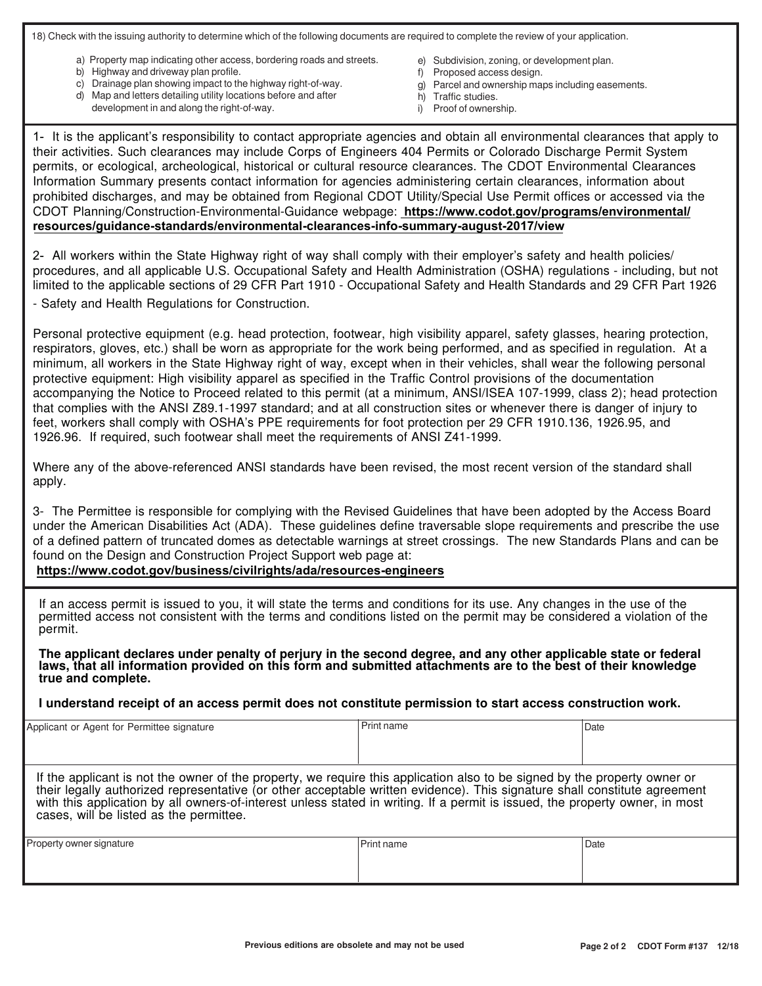18) Check with the issuing authority to determine which of the following documents are required to complete the review of your application.

- a) Property map indicating other access, bordering roads and streets.
- b) Highway and driveway plan profile.
- c) Drainage plan showing impact to the highway right-of-way.
- d) Map and letters detailing utility locations before and after
	- development in and along the right-of-way.
- e) Subdivision, zoning, or development plan.
- f) Proposed access design.
- g) Parcel and ownership maps including easements.
- h) Traffic studies.
- i) Proof of ownership.

1- It is the applicant's responsibility to contact appropriate agencies and obtain all environmental clearances that apply to their activities. Such clearances may include Corps of Engineers 404 Permits or Colorado Discharge Permit System permits, or ecological, archeological, historical or cultural resource clearances. The CDOT Environmental Clearances Information Summary presents contact information for agencies administering certain clearances, information about prohibited discharges, and may be obtained from Regional CDOT Utility/Special Use Permit offices or accessed via the CDOT Planning/Construction-Environmental-Guidance webpage: **https://www.codot.gov/programs/environmental/ [resources/guidance-standards/environmental-clearances-info-summary-august-2017/view](https://www.codot.gov/programs/environmental/resources/guidance-standards/environmental-clearances-info-summary-august-2017/view)**

2- All workers within the State Highway right of way shall comply with their employer's safety and health policies/ procedures, and all applicable U.S. Occupational Safety and Health Administration (OSHA) regulations - including, but not limited to the applicable sections of 29 CFR Part 1910 - Occupational Safety and Health Standards and 29 CFR Part 1926

- Safety and Health Regulations for Construction.

Personal protective equipment (e.g. head protection, footwear, high visibility apparel, safety glasses, hearing protection, respirators, gloves, etc.) shall be worn as appropriate for the work being performed, and as specified in regulation. At a minimum, all workers in the State Highway right of way, except when in their vehicles, shall wear the following personal protective equipment: High visibility apparel as specified in the Traffic Control provisions of the documentation accompanying the Notice to Proceed related to this permit (at a minimum, ANSI/ISEA 107-1999, class 2); head protection that complies with the ANSI Z89.1-1997 standard; and at all construction sites or whenever there is danger of injury to feet, workers shall comply with OSHA's PPE requirements for foot protection per 29 CFR 1910.136, 1926.95, and 1926.96. If required, such footwear shall meet the requirements of ANSI Z41-1999.

Where any of the above-referenced ANSI standards have been revised, the most recent version of the standard shall apply.

3- The Permittee is responsible for complying with the Revised Guidelines that have been adopted by the Access Board under the American Disabilities Act (ADA). These guidelines define traversable slope requirements and prescribe the use of a defined pattern of truncated domes as detectable warnings at street crossings. The new Standards Plans and can be found on the Design and Construction Project Support web page at:

**<https://www.codot.gov/business/civilrights/ada/resources-engineers>**

If an access permit is issued to you, it will state the terms and conditions for its use. Any changes in the use of the permitted access not consistent with the terms and conditions listed on the permit may be considered a violation of the permit.

**The applicant declares under penalty of perjury in the second degree, and any other applicable state or federal laws, that all information provided on this form and submitted attachments are to the best of their knowledge true and complete.**

**I understand receipt of an access permit does not constitute permission to start access construction work.**

| Applicant or Agent for Permittee signature                                                                                                                                                                                                                                                                                                                                                                                        | Print name        | Date |  |  |  |  |  |
|-----------------------------------------------------------------------------------------------------------------------------------------------------------------------------------------------------------------------------------------------------------------------------------------------------------------------------------------------------------------------------------------------------------------------------------|-------------------|------|--|--|--|--|--|
| If the applicant is not the owner of the property, we require this application also to be signed by the property owner or<br>their legally authorized representative (or other acceptable written evidence). This signature shall constitute agreement<br>with this application by all owners-of-interest unless stated in writing. If a permit is issued, the property owner, in most<br>cases, will be listed as the permittee. |                   |      |  |  |  |  |  |
| Property owner signature                                                                                                                                                                                                                                                                                                                                                                                                          | <b>Print name</b> | Date |  |  |  |  |  |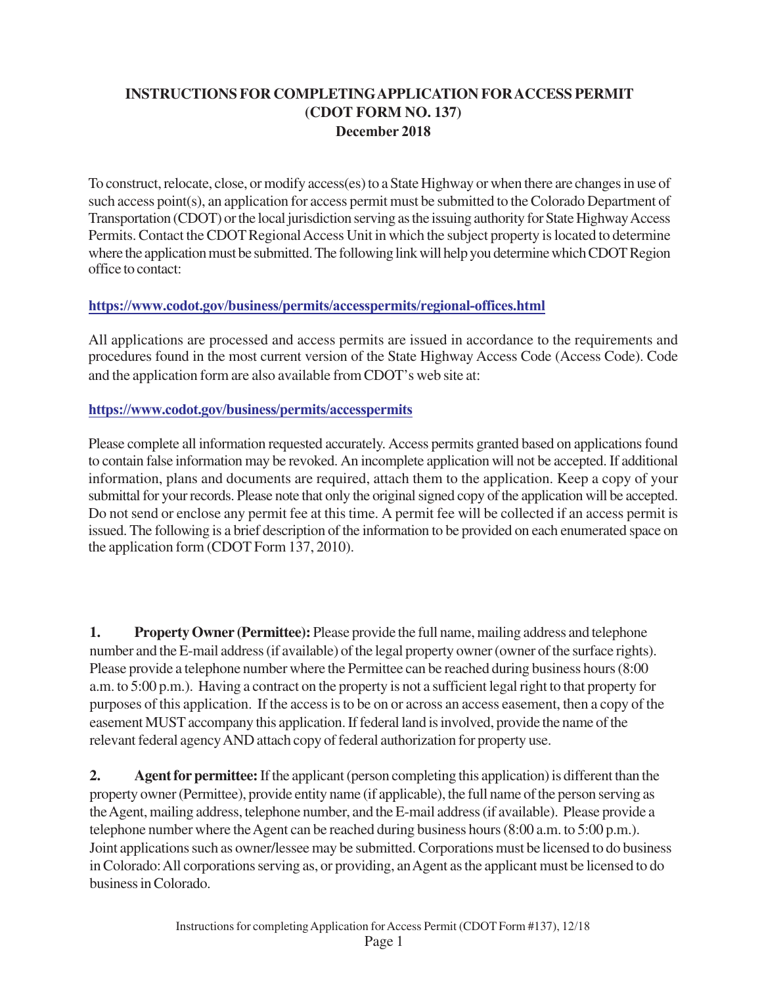### **INSTRUCTIONS FOR COMPLETINGAPPLICATION FORACCESS PERMIT (CDOT FORM NO. 137) December 2018**

To construct, relocate, close, or modify access(es) to a State Highway or when there are changes in use of such access point(s), an application for access permit must be submitted to the Colorado Department of Transportation (CDOT) or the local jurisdiction serving as the issuing authority for State Highway Access Permits. Contact the CDOT Regional Access Unit in which the subject property is located to determine where the application must be submitted. The following link will help you determine which CDOT Region office to contact:

### **<https://www.codot.gov/business/permits/accesspermits/regional-offices.html>**

All applications are processed and access permits are issued in accordance to the requirements and procedures found in the most current version of the State Highway Access Code (Access Code). Code and the application form are also available from CDOT's web site at:

#### **https://www.codot.gov/business/permits/accesspermits**

Please complete all information requested accurately. Access permits granted based on applications found [to contain false information may be revoked. An incomplete](https://www.codot.gov/business/permits/accesspermits) application will not be accepted. If additional information, plans and documents are required, attach them to the application. Keep a copy of your submittal for your records. Please note that only the original signed copy of the application will be accepted. Do not send or enclose any permit fee at this time. A permit fee will be collected if an access permit is issued. The following is a brief description of the information to be provided on each enumerated space on the application form (CDOT Form 137, 2010).

**1. Property Owner (Permittee):** Please provide the full name, mailing address and telephone number and the E-mail address (if available) of the legal property owner (owner of the surface rights). Please provide a telephone number where the Permittee can be reached during business hours (8:00 a.m. to 5:00 p.m.). Having a contract on the property is not a sufficient legal right to that property for purposes of this application. If the access is to be on or across an access easement, then a copy of the easement MUST accompany this application. If federal land is involved, provide the name of the relevant federal agency AND attach copy of federal authorization for property use.

**2. Agent for permittee:** If the applicant (person completing this application) is different than the property owner (Permittee), provide entity name (if applicable), the full name of the person serving as the Agent, mailing address, telephone number, and the E-mail address (if available). Please provide a telephone number where the Agent can be reached during business hours (8:00 a.m. to 5:00 p.m.). Joint applications such as owner/lessee may be submitted. Corporations must be licensed to do business in Colorado: All corporations serving as, or providing, an Agent as the applicant must be licensed to do business in Colorado.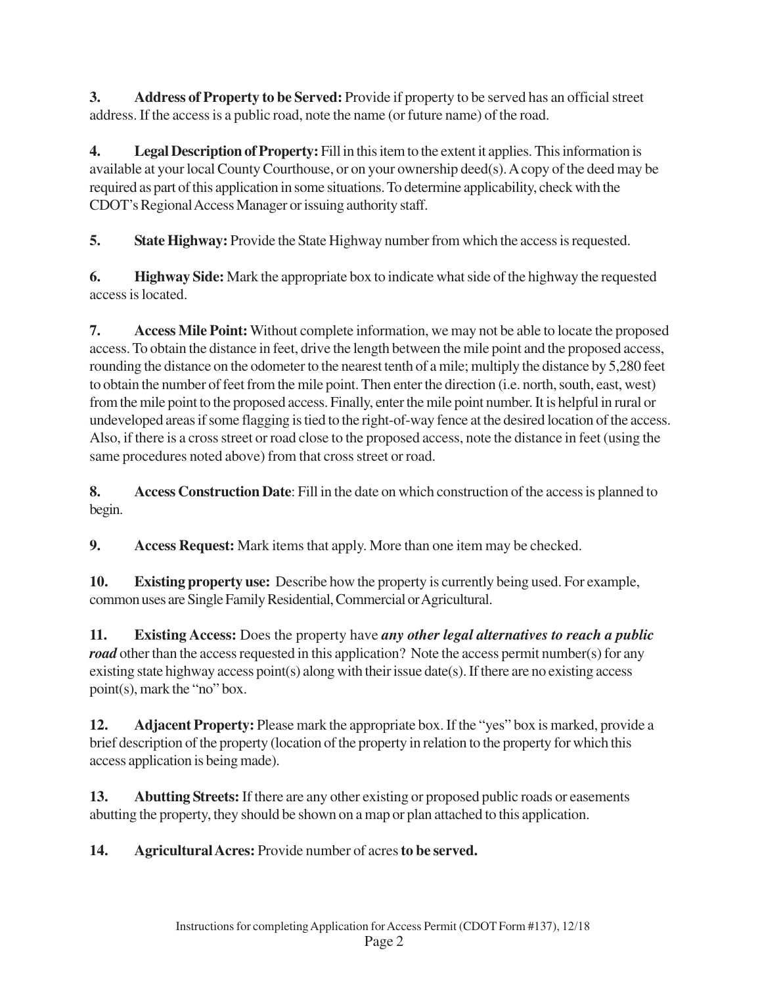**3. Address of Property to be Served:** Provide if property to be served has an official street address. If the access is a public road, note the name (or future name) of the road.

**4. Legal Description of Property:** Fill in this item to the extent it applies. This information is available at your local County Courthouse, or on your ownership deed(s). A copy of the deed may be required as part of this application in some situations. To determine applicability, check with the CDOT's Regional Access Manager or issuing authority staff.

**5. State Highway:** Provide the State Highway number from which the access is requested.

**6. Highway Side:** Mark the appropriate box to indicate what side of the highway the requested access is located.

**7. Access Mile Point:** Without complete information, we may not be able to locate the proposed access. To obtain the distance in feet, drive the length between the mile point and the proposed access, rounding the distance on the odometer to the nearest tenth of a mile; multiply the distance by 5,280 feet to obtain the number of feet from the mile point. Then enter the direction (i.e. north, south, east, west) from the mile point to the proposed access. Finally, enter the mile point number. It is helpful in rural or undeveloped areas if some flagging is tied to the right-of-way fence at the desired location of the access. Also, if there is a cross street or road close to the proposed access, note the distance in feet (using the same procedures noted above) from that cross street or road.

**8. Access Construction Date**: Fill in the date on which construction of the access is planned to begin.

**9. Access Request:** Mark items that apply. More than one item may be checked.

**10. Existing property use:** Describe how the property is currently being used. For example, common uses are Single Family Residential, Commercial or Agricultural.

**11. Existing Access:** Does the property have *any other legal alternatives to reach a public road* other than the access requested in this application? Note the access permit number(s) for any existing state highway access point(s) along with their issue date(s). If there are no existing access point(s), mark the "no" box.

**12. Adjacent Property:** Please mark the appropriate box. If the "yes" box is marked, provide a brief description of the property (location of the property in relation to the property for which this access application is being made).

**13. Abutting Streets:** If there are any other existing or proposed public roads or easements abutting the property, they should be shown on a map or plan attached to this application.

**14. Agricultural Acres:** Provide number of acres **to be served.**